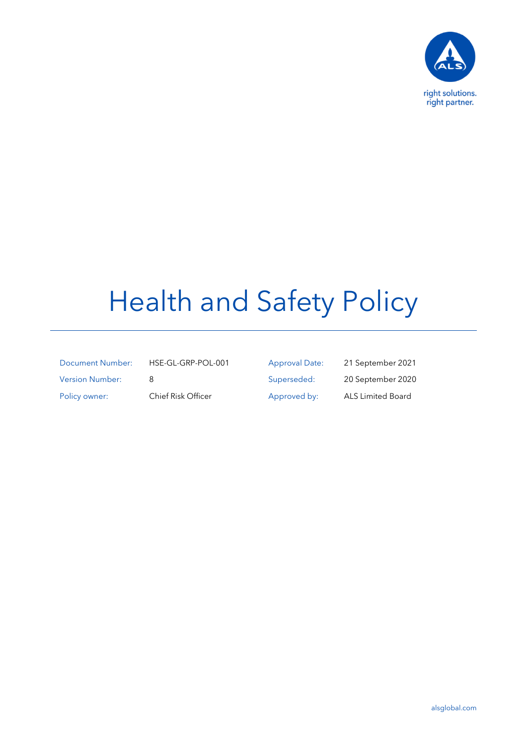

## Health and Safety Policy

| Document Number:       |
|------------------------|
| <b>Version Number:</b> |
| Policy owner:          |

HSE-GL-GRP-POL-001 Approval Date: 21 September 2021 8 Superseded: 20 September 2020 olicy owner: Chief Risk Officer Approved by: ALS Limited Board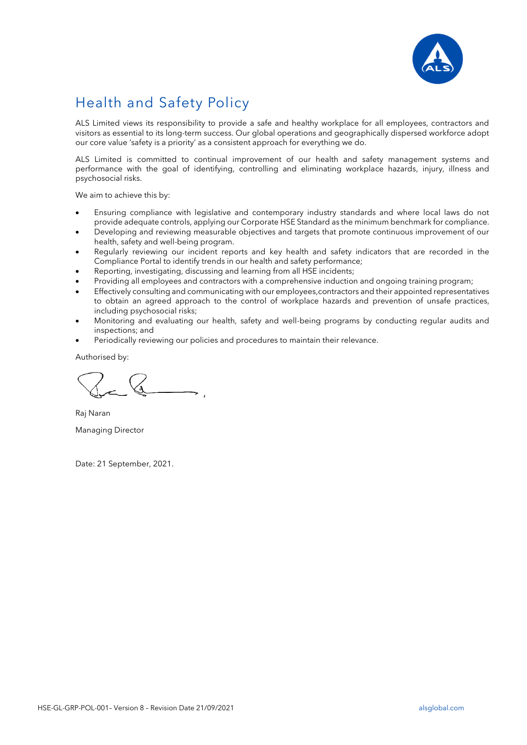

## Health and Safety Policy

ALS Limited views its responsibility to provide a safe and healthy workplace for all employees, contractors and visitors as essential to its long-term success. Our global operations and geographically dispersed workforce adopt our core value 'safety is a priority' as a consistent approach for everything we do.

ALS Limited is committed to continual improvement of our health and safety management systems and performance with the goal of identifying, controlling and eliminating workplace hazards, injury, illness and psychosocial risks.

We aim to achieve this by:

- Ensuring compliance with legislative and contemporary industry standards and where local laws do not provide adequate controls, applying our Corporate HSE Standard as the minimum benchmark for compliance.
- Developing and reviewing measurable objectives and targets that promote continuous improvement of our health, safety and well-being program.
- Regularly reviewing our incident reports and key health and safety indicators that are recorded in the Compliance Portal to identify trends in our health and safety performance;
- Reporting, investigating, discussing and learning from all HSE incidents;
- Providing all employees and contractors with a comprehensive induction and ongoing training program;
- Effectively consulting and communicating with our employees,contractors and their appointed representatives to obtain an agreed approach to the control of workplace hazards and prevention of unsafe practices, including psychosocial risks;
- Monitoring and evaluating our health, safety and well-being programs by conducting regular audits and inspections; and
- Periodically reviewing our policies and procedures to maintain their relevance.

Authorised by:

Raj Naran Managing Director

Date: 21 September, 2021.